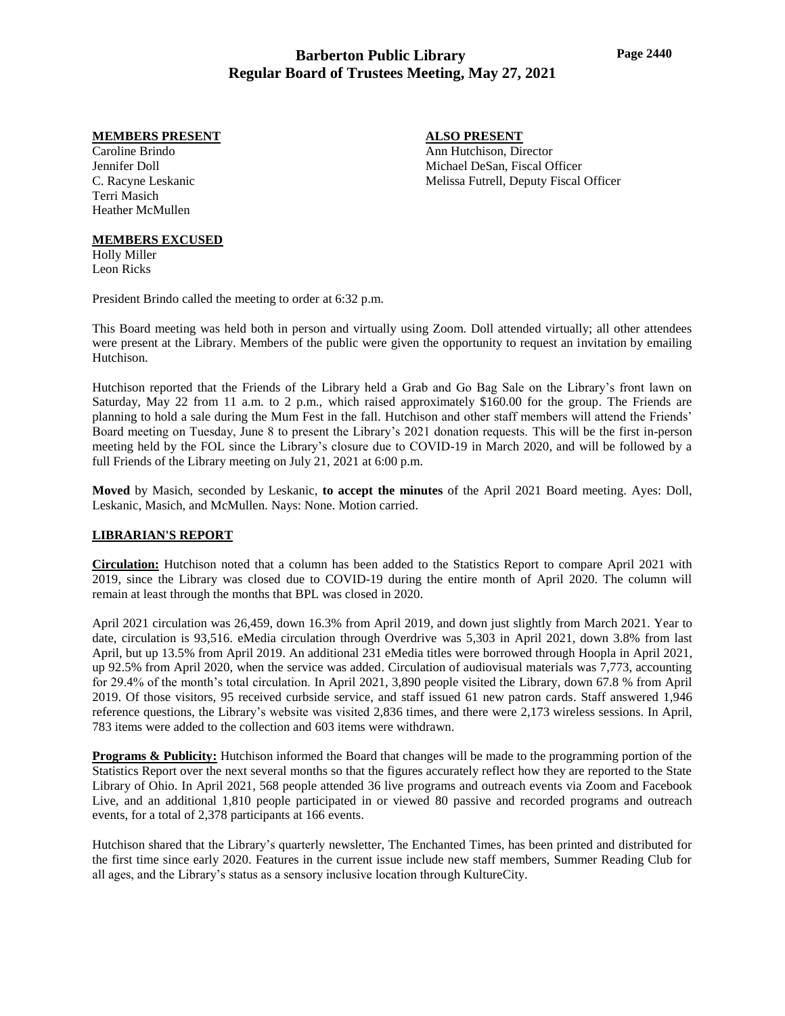# **Barberton Public Library Regular Board of Trustees Meeting, May 27, 2021**

#### **MEMBERS PRESENT**

Caroline Brindo Jennifer Doll C. Racyne Leskanic Terri Masich Heather McMullen

#### **MEMBERS EXCUSED**

Holly Miller Leon Ricks

President Brindo called the meeting to order at 6:32 p.m.

This Board meeting was held both in person and virtually using Zoom. Doll attended virtually; all other attendees were present at the Library. Members of the public were given the opportunity to request an invitation by emailing Hutchison.

Hutchison reported that the Friends of the Library held a Grab and Go Bag Sale on the Library's front lawn on Saturday, May 22 from 11 a.m. to 2 p.m., which raised approximately \$160.00 for the group. The Friends are planning to hold a sale during the Mum Fest in the fall. Hutchison and other staff members will attend the Friends' Board meeting on Tuesday, June 8 to present the Library's 2021 donation requests. This will be the first in-person meeting held by the FOL since the Library's closure due to COVID-19 in March 2020, and will be followed by a full Friends of the Library meeting on July 21, 2021 at 6:00 p.m.

**Moved** by Masich, seconded by Leskanic, **to accept the minutes** of the April 2021 Board meeting. Ayes: Doll, Leskanic, Masich, and McMullen. Nays: None. Motion carried.

## **LIBRARIAN'S REPORT**

**Circulation:** Hutchison noted that a column has been added to the Statistics Report to compare April 2021 with 2019, since the Library was closed due to COVID-19 during the entire month of April 2020. The column will remain at least through the months that BPL was closed in 2020.

April 2021 circulation was 26,459, down 16.3% from April 2019, and down just slightly from March 2021. Year to date, circulation is 93,516. eMedia circulation through Overdrive was 5,303 in April 2021, down 3.8% from last April, but up 13.5% from April 2019. An additional 231 eMedia titles were borrowed through Hoopla in April 2021, up 92.5% from April 2020, when the service was added. Circulation of audiovisual materials was 7,773, accounting for 29.4% of the month's total circulation. In April 2021, 3,890 people visited the Library, down 67.8 % from April 2019. Of those visitors, 95 received curbside service, and staff issued 61 new patron cards. Staff answered 1,946 reference questions, the Library's website was visited 2,836 times, and there were 2,173 wireless sessions. In April, 783 items were added to the collection and 603 items were withdrawn.

**Programs & Publicity:** Hutchison informed the Board that changes will be made to the programming portion of the Statistics Report over the next several months so that the figures accurately reflect how they are reported to the State Library of Ohio. In April 2021, 568 people attended 36 live programs and outreach events via Zoom and Facebook Live, and an additional 1,810 people participated in or viewed 80 passive and recorded programs and outreach events, for a total of 2,378 participants at 166 events.

Hutchison shared that the Library's quarterly newsletter, The Enchanted Times, has been printed and distributed for the first time since early 2020. Features in the current issue include new staff members, Summer Reading Club for all ages, and the Library's status as a sensory inclusive location through KultureCity.

## **ALSO PRESENT**

Ann Hutchison, Director Michael DeSan, Fiscal Officer Melissa Futrell, Deputy Fiscal Officer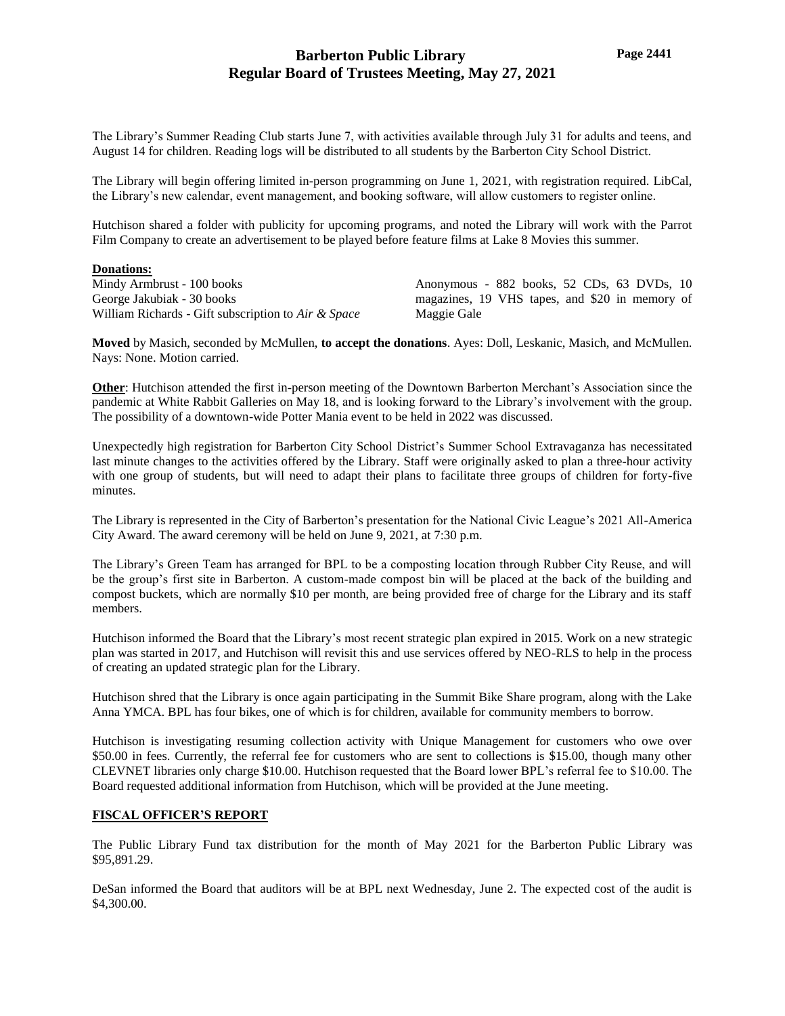# **Barberton Public Library Regular Board of Trustees Meeting, May 27, 2021**

The Library's Summer Reading Club starts June 7, with activities available through July 31 for adults and teens, and August 14 for children. Reading logs will be distributed to all students by the Barberton City School District.

The Library will begin offering limited in-person programming on June 1, 2021, with registration required. LibCal, the Library's new calendar, event management, and booking software, will allow customers to register online.

Hutchison shared a folder with publicity for upcoming programs, and noted the Library will work with the Parrot Film Company to create an advertisement to be played before feature films at Lake 8 Movies this summer.

#### **Donations:**

Mindy Armbrust - 100 books George Jakubiak - 30 books William Richards - Gift subscription to *Air & Space* Anonymous - 882 books, 52 CDs, 63 DVDs, 10 magazines, 19 VHS tapes, and \$20 in memory of Maggie Gale

**Moved** by Masich, seconded by McMullen, **to accept the donations**. Ayes: Doll, Leskanic, Masich, and McMullen. Nays: None. Motion carried.

**Other**: Hutchison attended the first in-person meeting of the Downtown Barberton Merchant's Association since the pandemic at White Rabbit Galleries on May 18, and is looking forward to the Library's involvement with the group. The possibility of a downtown-wide Potter Mania event to be held in 2022 was discussed.

Unexpectedly high registration for Barberton City School District's Summer School Extravaganza has necessitated last minute changes to the activities offered by the Library. Staff were originally asked to plan a three-hour activity with one group of students, but will need to adapt their plans to facilitate three groups of children for forty-five minutes.

The Library is represented in the City of Barberton's presentation for the National Civic League's 2021 All-America City Award. The award ceremony will be held on June 9, 2021, at 7:30 p.m.

The Library's Green Team has arranged for BPL to be a composting location through Rubber City Reuse, and will be the group's first site in Barberton. A custom-made compost bin will be placed at the back of the building and compost buckets, which are normally \$10 per month, are being provided free of charge for the Library and its staff members.

Hutchison informed the Board that the Library's most recent strategic plan expired in 2015. Work on a new strategic plan was started in 2017, and Hutchison will revisit this and use services offered by NEO-RLS to help in the process of creating an updated strategic plan for the Library.

Hutchison shred that the Library is once again participating in the Summit Bike Share program, along with the Lake Anna YMCA. BPL has four bikes, one of which is for children, available for community members to borrow.

Hutchison is investigating resuming collection activity with Unique Management for customers who owe over \$50.00 in fees. Currently, the referral fee for customers who are sent to collections is \$15.00, though many other CLEVNET libraries only charge \$10.00. Hutchison requested that the Board lower BPL's referral fee to \$10.00. The Board requested additional information from Hutchison, which will be provided at the June meeting.

#### **FISCAL OFFICER'S REPORT**

The Public Library Fund tax distribution for the month of May 2021 for the Barberton Public Library was \$95,891.29.

DeSan informed the Board that auditors will be at BPL next Wednesday, June 2. The expected cost of the audit is \$4,300.00.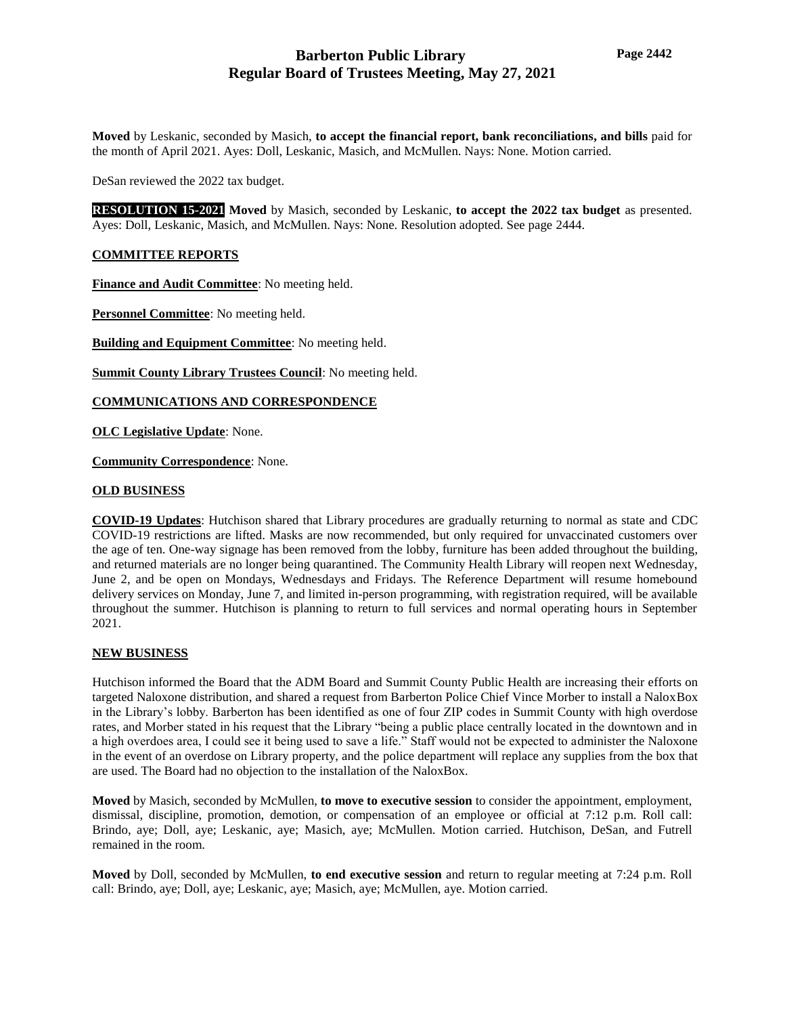**Moved** by Leskanic, seconded by Masich, **to accept the financial report, bank reconciliations, and bills** paid for the month of April 2021. Ayes: Doll, Leskanic, Masich, and McMullen. Nays: None. Motion carried.

DeSan reviewed the 2022 tax budget.

**RESOLUTION 15-2021 Moved** by Masich, seconded by Leskanic, **to accept the 2022 tax budget** as presented. Ayes: Doll, Leskanic, Masich, and McMullen. Nays: None. Resolution adopted. See page 2444.

### **COMMITTEE REPORTS**

**Finance and Audit Committee**: No meeting held.

**Personnel Committee**: No meeting held.

**Building and Equipment Committee**: No meeting held.

**Summit County Library Trustees Council**: No meeting held.

**COMMUNICATIONS AND CORRESPONDENCE**

**OLC Legislative Update**: None.

**Community Correspondence**: None.

#### **OLD BUSINESS**

**COVID-19 Updates**: Hutchison shared that Library procedures are gradually returning to normal as state and CDC COVID-19 restrictions are lifted. Masks are now recommended, but only required for unvaccinated customers over the age of ten. One-way signage has been removed from the lobby, furniture has been added throughout the building, and returned materials are no longer being quarantined. The Community Health Library will reopen next Wednesday, June 2, and be open on Mondays, Wednesdays and Fridays. The Reference Department will resume homebound delivery services on Monday, June 7, and limited in-person programming, with registration required, will be available throughout the summer. Hutchison is planning to return to full services and normal operating hours in September 2021.

## **NEW BUSINESS**

Hutchison informed the Board that the ADM Board and Summit County Public Health are increasing their efforts on targeted Naloxone distribution, and shared a request from Barberton Police Chief Vince Morber to install a NaloxBox in the Library's lobby. Barberton has been identified as one of four ZIP codes in Summit County with high overdose rates, and Morber stated in his request that the Library "being a public place centrally located in the downtown and in a high overdoes area, I could see it being used to save a life." Staff would not be expected to administer the Naloxone in the event of an overdose on Library property, and the police department will replace any supplies from the box that are used. The Board had no objection to the installation of the NaloxBox.

**Moved** by Masich, seconded by McMullen, **to move to executive session** to consider the appointment, employment, dismissal, discipline, promotion, demotion, or compensation of an employee or official at 7:12 p.m. Roll call: Brindo, aye; Doll, aye; Leskanic, aye; Masich, aye; McMullen. Motion carried. Hutchison, DeSan, and Futrell remained in the room.

**Moved** by Doll, seconded by McMullen, **to end executive session** and return to regular meeting at 7:24 p.m. Roll call: Brindo, aye; Doll, aye; Leskanic, aye; Masich, aye; McMullen, aye. Motion carried.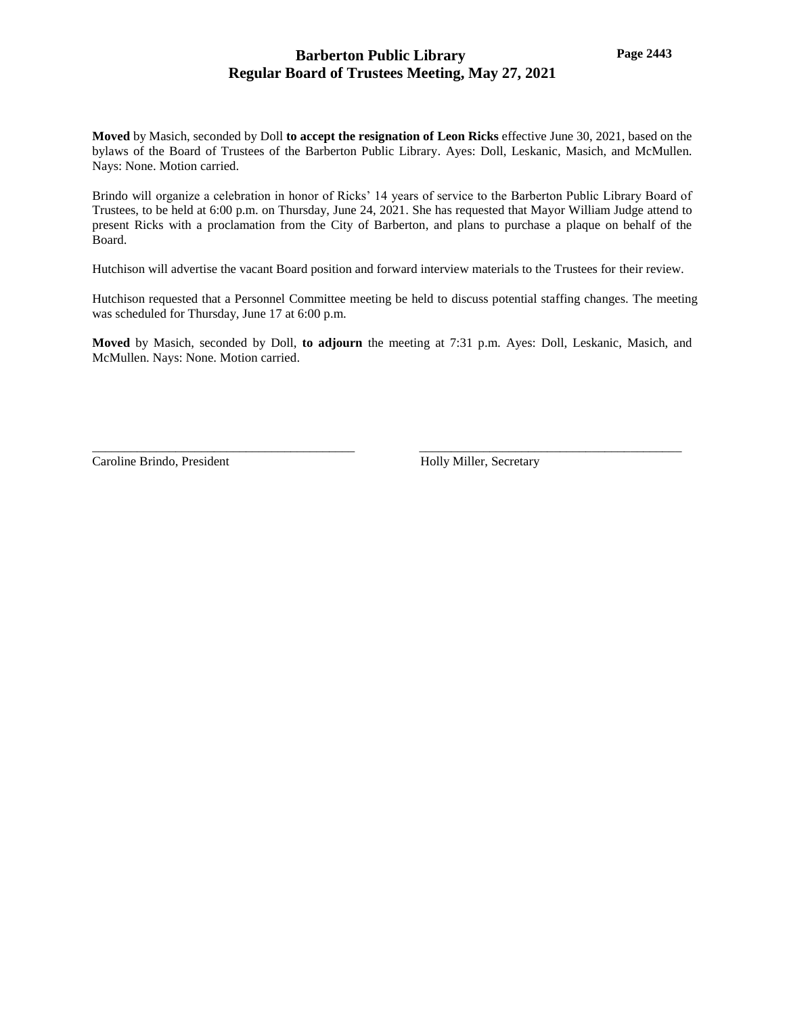# **Barberton Public Library Regular Board of Trustees Meeting, May 27, 2021**

**Moved** by Masich, seconded by Doll **to accept the resignation of Leon Ricks** effective June 30, 2021, based on the bylaws of the Board of Trustees of the Barberton Public Library. Ayes: Doll, Leskanic, Masich, and McMullen. Nays: None. Motion carried.

Brindo will organize a celebration in honor of Ricks' 14 years of service to the Barberton Public Library Board of Trustees, to be held at 6:00 p.m. on Thursday, June 24, 2021. She has requested that Mayor William Judge attend to present Ricks with a proclamation from the City of Barberton, and plans to purchase a plaque on behalf of the Board.

Hutchison will advertise the vacant Board position and forward interview materials to the Trustees for their review.

Hutchison requested that a Personnel Committee meeting be held to discuss potential staffing changes. The meeting was scheduled for Thursday, June 17 at 6:00 p.m.

**Moved** by Masich, seconded by Doll, **to adjourn** the meeting at 7:31 p.m. Ayes: Doll, Leskanic, Masich, and McMullen. Nays: None. Motion carried.

\_\_\_\_\_\_\_\_\_\_\_\_\_\_\_\_\_\_\_\_\_\_\_\_\_\_\_\_\_\_\_\_\_\_\_\_\_\_\_\_\_ \_\_\_\_\_\_\_\_\_\_\_\_\_\_\_\_\_\_\_\_\_\_\_\_\_\_\_\_\_\_\_\_\_\_\_\_\_\_\_\_\_

Caroline Brindo, President Holly Miller, Secretary